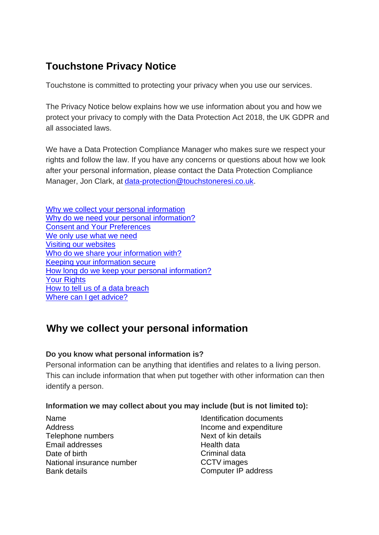# **Touchstone Privacy Notice**

Touchstone is committed to protecting your privacy when you use our services.

The Privacy Notice below explains how we use information about you and how we protect your privacy to comply with the Data Protection Act 2018, the UK GDPR and all associated laws.

We have a Data Protection Compliance Manager who makes sure we respect your rights and follow the law. If you have any concerns or questions about how we look after your personal information, please contact the Data Protection Compliance Manager, Jon Clark, at [data-protection@touchstoneresi.co.uk.](mailto:data-protection@touchstoneresi.co.uk)

| Why we collect your personal information       |
|------------------------------------------------|
| Why do we need your personal information?      |
| <b>Consent and Your Preferences</b>            |
| We only use what we need                       |
| <b>Visiting our websites</b>                   |
| Who do we share your information with?         |
| Keeping your information secure                |
| How long do we keep your personal information? |
| <b>Your Rights</b>                             |
| How to tell us of a data breach                |
| Where can I get advice?                        |

# <span id="page-0-0"></span>**Why we collect your personal information**

### **Do you know what personal information is?**

Personal information can be anything that identifies and relates to a living person. This can include information that when put together with other information can then identify a person.

### **Information we may collect about you may include (but is not limited to):**

Name Address Telephone numbers Email addresses Date of birth National insurance number Bank details

Identification documents Income and expenditure Next of kin details Health data Criminal data CCTV images Computer IP address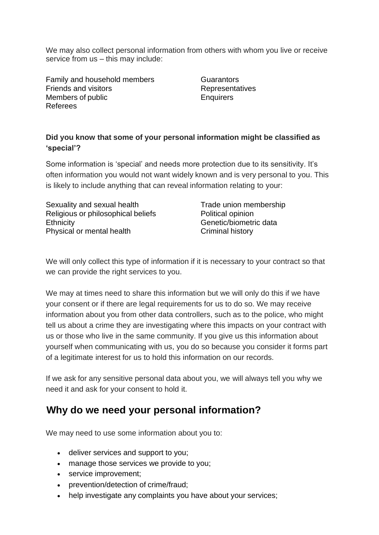We may also collect personal information from others with whom you live or receive service from us – this may include:

Family and household members Friends and visitors Members of public Referees

**Guarantors Representatives Enquirers** 

#### **Did you know that some of your personal information might be classified as 'special'?**

Some information is 'special' and needs more protection due to its sensitivity. It's often information you would not want widely known and is very personal to you. This is likely to include anything that can reveal information relating to your:

Sexuality and sexual health Religious or philosophical beliefs **Ethnicity** Physical or mental health

Trade union membership Political opinion Genetic/biometric data Criminal history

We will only collect this type of information if it is necessary to your contract so that we can provide the right services to you.

We may at times need to share this information but we will only do this if we have your consent or if there are legal requirements for us to do so. We may receive information about you from other data controllers, such as to the police, who might tell us about a crime they are investigating where this impacts on your contract with us or those who live in the same community. If you give us this information about yourself when communicating with us, you do so because you consider it forms part of a legitimate interest for us to hold this information on our records.

If we ask for any sensitive personal data about you, we will always tell you why we need it and ask for your consent to hold it.

## <span id="page-1-0"></span>**Why do we need your personal information?**

We may need to use some information about you to:

- deliver services and support to you;
- manage those services we provide to you;
- service improvement;
- prevention/detection of crime/fraud;
- help investigate any complaints you have about your services;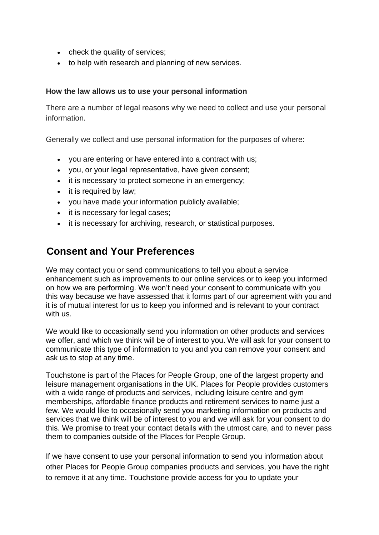- check the quality of services;
- to help with research and planning of new services.

#### **How the law allows us to use your personal information**

There are a number of legal reasons why we need to collect and use your personal information.

Generally we collect and use personal information for the purposes of where:

- you are entering or have entered into a contract with us;
- you, or your legal representative, have given consent;
- it is necessary to protect someone in an emergency;
- it is required by law;
- you have made your information publicly available;
- it is necessary for legal cases;
- it is necessary for archiving, research, or statistical purposes.

### <span id="page-2-0"></span>**Consent and Your Preferences**

We may contact you or send communications to tell you about a service enhancement such as improvements to our online services or to keep you informed on how we are performing. We won't need your consent to communicate with you this way because we have assessed that it forms part of our agreement with you and it is of mutual interest for us to keep you informed and is relevant to your contract with us.

We would like to occasionally send you information on other products and services we offer, and which we think will be of interest to you. We will ask for your consent to communicate this type of information to you and you can remove your consent and ask us to stop at any time.

Touchstone is part of the Places for People Group, one of the largest property and leisure management organisations in the UK. Places for People provides customers with a wide range of products and services, including leisure centre and gym memberships, affordable finance products and retirement services to name just a few. We would like to occasionally send you marketing information on products and services that we think will be of interest to you and we will ask for your consent to do this. We promise to treat your contact details with the utmost care, and to never pass them to companies outside of the Places for People Group.

If we have consent to use your personal information to send you information about other Places for People Group companies products and services, you have the right to remove it at any time. Touchstone provide access for you to update your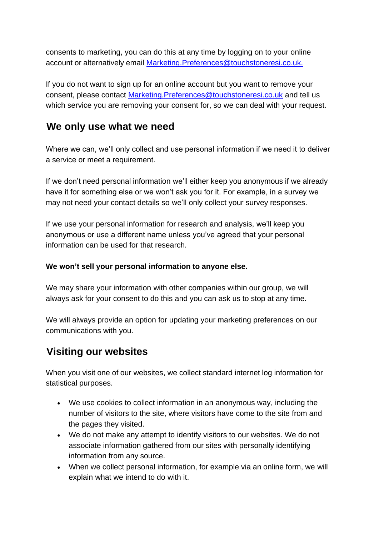consents to marketing, you can do this at any time by logging on to your online account or alternatively email [Marketing.Preferences@touchstoneresi.co.uk.](mailto:Marketing.Preferences@touchstoneresi.co.uk)

If you do not want to sign up for an online account but you want to remove your consent, please contact [Marketing.Preferences@touchstoneresi.co.uk](mailto:Marketing.Preferences@touchstoneresi.co.uk) and tell us which service you are removing your consent for, so we can deal with your request.

## <span id="page-3-0"></span>**We only use what we need**

Where we can, we'll only collect and use personal information if we need it to deliver a service or meet a requirement.

If we don't need personal information we'll either keep you anonymous if we already have it for something else or we won't ask you for it. For example, in a survey we may not need your contact details so we'll only collect your survey responses.

If we use your personal information for research and analysis, we'll keep you anonymous or use a different name unless you've agreed that your personal information can be used for that research.

#### **We won't sell your personal information to anyone else.**

We may share your information with other companies within our group, we will always ask for your consent to do this and you can ask us to stop at any time.

We will always provide an option for updating your marketing preferences on our communications with you.

## <span id="page-3-1"></span>**Visiting our websites**

When you visit one of our websites, we collect standard internet log information for statistical purposes.

- We use cookies to collect information in an anonymous way, including the number of visitors to the site, where visitors have come to the site from and the pages they visited.
- We do not make any attempt to identify visitors to our websites. We do not associate information gathered from our sites with personally identifying information from any source.
- When we collect personal information, for example via an online form, we will explain what we intend to do with it.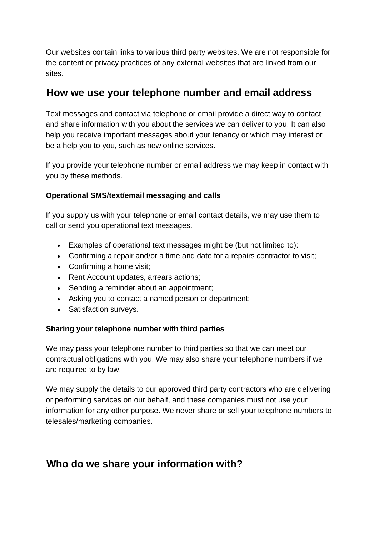Our websites contain links to various third party websites. We are not responsible for the content or privacy practices of any external websites that are linked from our sites.

### **How we use your telephone number and email address**

Text messages and contact via telephone or email provide a direct way to contact and share information with you about the services we can deliver to you. It can also help you receive important messages about your tenancy or which may interest or be a help you to you, such as new online services.

If you provide your telephone number or email address we may keep in contact with you by these methods.

### **Operational SMS/text/email messaging and calls**

If you supply us with your telephone or email contact details, we may use them to call or send you operational text messages.

- Examples of operational text messages might be (but not limited to):
- Confirming a repair and/or a time and date for a repairs contractor to visit;
- Confirming a home visit;
- Rent Account updates, arrears actions;
- Sending a reminder about an appointment;
- Asking you to contact a named person or department;
- Satisfaction surveys.

#### **Sharing your telephone number with third parties**

We may pass your telephone number to third parties so that we can meet our contractual obligations with you. We may also share your telephone numbers if we are required to by law.

We may supply the details to our approved third party contractors who are delivering or performing services on our behalf, and these companies must not use your information for any other purpose. We never share or sell your telephone numbers to telesales/marketing companies.

## <span id="page-4-0"></span>**Who do we share your information with?**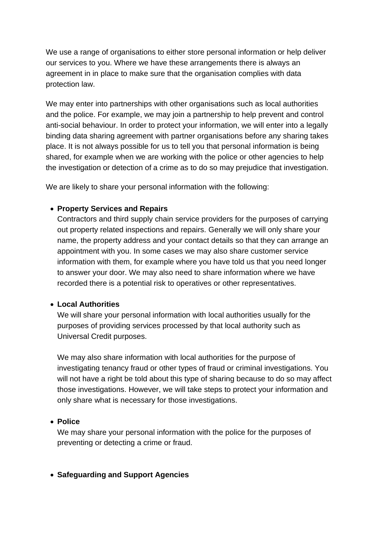We use a range of organisations to either store personal information or help deliver our services to you. Where we have these arrangements there is always an agreement in in place to make sure that the organisation complies with data protection law.

We may enter into partnerships with other organisations such as local authorities and the police. For example, we may join a partnership to help prevent and control anti-social behaviour. In order to protect your information, we will enter into a legally binding data sharing agreement with partner organisations before any sharing takes place. It is not always possible for us to tell you that personal information is being shared, for example when we are working with the police or other agencies to help the investigation or detection of a crime as to do so may prejudice that investigation.

We are likely to share your personal information with the following:

#### • **Property Services and Repairs**

Contractors and third supply chain service providers for the purposes of carrying out property related inspections and repairs. Generally we will only share your name, the property address and your contact details so that they can arrange an appointment with you. In some cases we may also share customer service information with them, for example where you have told us that you need longer to answer your door. We may also need to share information where we have recorded there is a potential risk to operatives or other representatives.

#### • **Local Authorities**

We will share your personal information with local authorities usually for the purposes of providing services processed by that local authority such as Universal Credit purposes.

We may also share information with local authorities for the purpose of investigating tenancy fraud or other types of fraud or criminal investigations. You will not have a right be told about this type of sharing because to do so may affect those investigations. However, we will take steps to protect your information and only share what is necessary for those investigations.

#### • **Police**

We may share your personal information with the police for the purposes of preventing or detecting a crime or fraud.

#### • **Safeguarding and Support Agencies**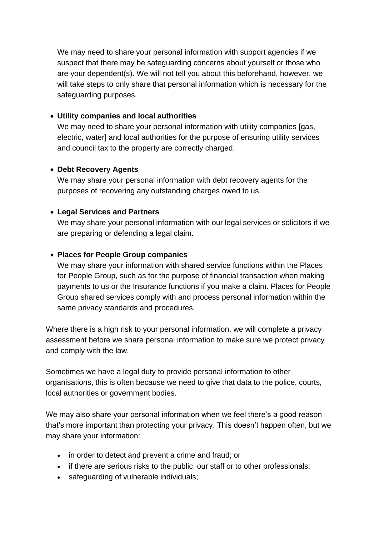We may need to share your personal information with support agencies if we suspect that there may be safeguarding concerns about yourself or those who are your dependent(s). We will not tell you about this beforehand, however, we will take steps to only share that personal information which is necessary for the safeguarding purposes.

#### • **Utility companies and local authorities**

We may need to share your personal information with utility companies [gas, electric, water] and local authorities for the purpose of ensuring utility services and council tax to the property are correctly charged.

#### • **Debt Recovery Agents**

We may share your personal information with debt recovery agents for the purposes of recovering any outstanding charges owed to us.

#### • **Legal Services and Partners**

We may share your personal information with our legal services or solicitors if we are preparing or defending a legal claim.

#### • **Places for People Group companies**

We may share your information with shared service functions within the Places for People Group, such as for the purpose of financial transaction when making payments to us or the Insurance functions if you make a claim. Places for People Group shared services comply with and process personal information within the same privacy standards and procedures.

Where there is a high risk to your personal information, we will complete a privacy assessment before we share personal information to make sure we protect privacy and comply with the law.

Sometimes we have a legal duty to provide personal information to other organisations, this is often because we need to give that data to the police, courts, local authorities or government bodies.

We may also share your personal information when we feel there's a good reason that's more important than protecting your privacy. This doesn't happen often, but we may share your information:

- in order to detect and prevent a crime and fraud; or
- if there are serious risks to the public, our staff or to other professionals;
- safeguarding of vulnerable individuals;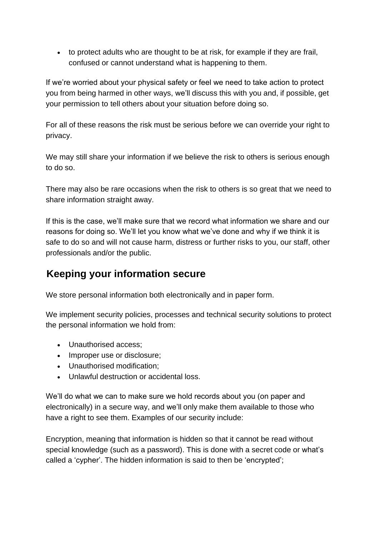• to protect adults who are thought to be at risk, for example if they are frail, confused or cannot understand what is happening to them.

If we're worried about your physical safety or feel we need to take action to protect you from being harmed in other ways, we'll discuss this with you and, if possible, get your permission to tell others about your situation before doing so.

For all of these reasons the risk must be serious before we can override your right to privacy.

We may still share your information if we believe the risk to others is serious enough to do so.

There may also be rare occasions when the risk to others is so great that we need to share information straight away.

If this is the case, we'll make sure that we record what information we share and our reasons for doing so. We'll let you know what we've done and why if we think it is safe to do so and will not cause harm, distress or further risks to you, our staff, other professionals and/or the public.

# <span id="page-7-0"></span>**Keeping your information secure**

We store personal information both electronically and in paper form.

We implement security policies, processes and technical security solutions to protect the personal information we hold from:

- Unauthorised access;
- Improper use or disclosure;
- Unauthorised modification;
- Unlawful destruction or accidental loss.

We'll do what we can to make sure we hold records about you (on paper and electronically) in a secure way, and we'll only make them available to those who have a right to see them. Examples of our security include:

Encryption, meaning that information is hidden so that it cannot be read without special knowledge (such as a password). This is done with a secret code or what's called a 'cypher'. The hidden information is said to then be 'encrypted';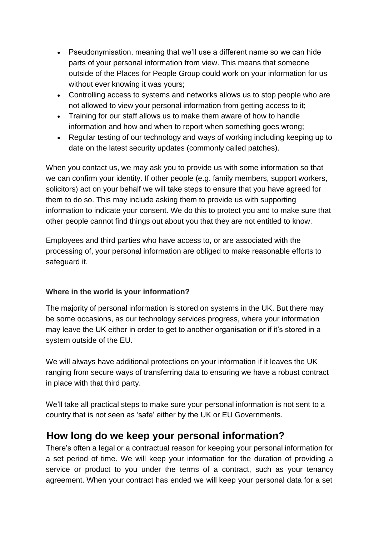- Pseudonymisation, meaning that we'll use a different name so we can hide parts of your personal information from view. This means that someone outside of the Places for People Group could work on your information for us without ever knowing it was yours;
- Controlling access to systems and networks allows us to stop people who are not allowed to view your personal information from getting access to it;
- Training for our staff allows us to make them aware of how to handle information and how and when to report when something goes wrong;
- Regular testing of our technology and ways of working including keeping up to date on the latest security updates (commonly called patches).

When you contact us, we may ask you to provide us with some information so that we can confirm your identity. If other people (e.g. family members, support workers, solicitors) act on your behalf we will take steps to ensure that you have agreed for them to do so. This may include asking them to provide us with supporting information to indicate your consent. We do this to protect you and to make sure that other people cannot find things out about you that they are not entitled to know.

Employees and third parties who have access to, or are associated with the processing of, your personal information are obliged to make reasonable efforts to safeguard it.

### **Where in the world is your information?**

The majority of personal information is stored on systems in the UK. But there may be some occasions, as our technology services progress, where your information may leave the UK either in order to get to another organisation or if it's stored in a system outside of the EU.

We will always have additional protections on your information if it leaves the UK ranging from secure ways of transferring data to ensuring we have a robust contract in place with that third party.

We'll take all practical steps to make sure your personal information is not sent to a country that is not seen as 'safe' either by the UK or EU Governments.

### <span id="page-8-0"></span>**How long do we keep your personal information?**

There's often a legal or a contractual reason for keeping your personal information for a set period of time. We will keep your information for the duration of providing a service or product to you under the terms of a contract, such as your tenancy agreement. When your contract has ended we will keep your personal data for a set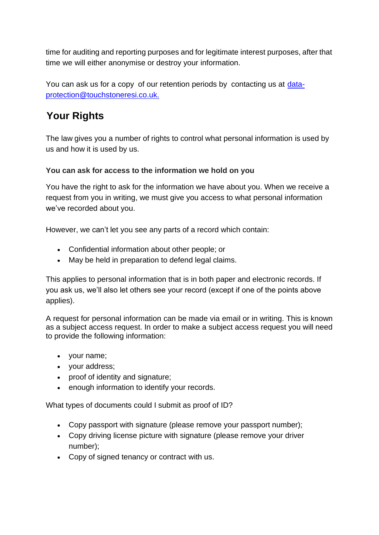time for auditing and reporting purposes and for legitimate interest purposes, after that time we will either anonymise or destroy your information.

You can ask us for a copy of our retention periods by contacting us at data[protection@touchstoneresi.co.uk.](mailto:protection@touchstoneresi.co.uk)

# <span id="page-9-0"></span>**Your Rights**

The law gives you a number of rights to control what personal information is used by us and how it is used by us.

### **You can ask for access to the information we hold on you**

You have the right to ask for the information we have about you. When we receive a request from you in writing, we must give you access to what personal information we've recorded about you.

However, we can't let you see any parts of a record which contain:

- Confidential information about other people; or
- May be held in preparation to defend legal claims.

This applies to personal information that is in both paper and electronic records. If you ask us, we'll also let others see your record (except if one of the points above applies).

A request for personal information can be made via email or in writing. This is known as a subject access request. In order to make a subject access request you will need to provide the following information:

- your name;
- your address;
- proof of identity and signature;
- enough information to identify your records.

What types of documents could I submit as proof of ID?

- Copy passport with signature (please remove your passport number);
- Copy driving license picture with signature (please remove your driver number);
- Copy of signed tenancy or contract with us.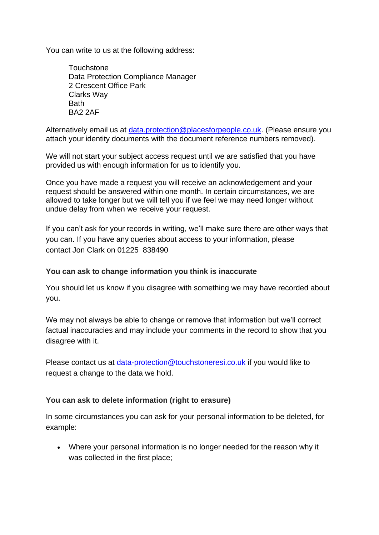You can write to us at the following address:

**Touchstone** Data Protection Compliance Manager 2 Crescent Office Park Clarks Way **Bath** BA2 2AF

Alternatively email us at [data.protection@placesforpeople.co.uk.](mailto:data.protection@placesforpeople.co.uk) (Please ensure you attach your identity documents with the document reference numbers removed).

We will not start your subject access request until we are satisfied that you have provided us with enough information for us to identify you.

Once you have made a request you will receive an acknowledgement and your request should be answered within one month. In certain circumstances, we are allowed to take longer but we will tell you if we feel we may need longer without undue delay from when we receive your request.

If you can't ask for your records in writing, we'll make sure there are other ways that you can. If you have any queries about access to your information, please contact Jon Clark on 01225 838490

#### **You can ask to change information you think is inaccurate**

You should let us know if you disagree with something we may have recorded about you.

We may not always be able to change or remove that information but we'll correct factual inaccuracies and may include your comments in the record to show that you disagree with it.

Please contact us at [data-protection@touchstoneresi.co.uk](mailto:data-protection@touchstoneresi.co.uk) if you would like to request a change to the data we hold.

#### **You can ask to delete information (right to erasure)**

In some circumstances you can ask for your personal information to be deleted, for example:

• Where your personal information is no longer needed for the reason why it was collected in the first place;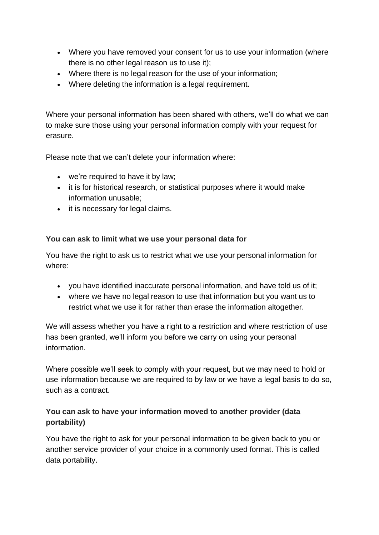- Where you have removed your consent for us to use your information (where there is no other legal reason us to use it);
- Where there is no legal reason for the use of your information;
- Where deleting the information is a legal requirement.

Where your personal information has been shared with others, we'll do what we can to make sure those using your personal information comply with your request for erasure.

Please note that we can't delete your information where:

- we're required to have it by law;
- it is for historical research, or statistical purposes where it would make information unusable;
- it is necessary for legal claims.

#### **You can ask to limit what we use your personal data for**

You have the right to ask us to restrict what we use your personal information for where:

- you have identified inaccurate personal information, and have told us of it;
- where we have no legal reason to use that information but you want us to restrict what we use it for rather than erase the information altogether.

We will assess whether you have a right to a restriction and where restriction of use has been granted, we'll inform you before we carry on using your personal information.

Where possible we'll seek to comply with your request, but we may need to hold or use information because we are required to by law or we have a legal basis to do so, such as a contract.

#### **You can ask to have your information moved to another provider (data portability)**

You have the right to ask for your personal information to be given back to you or another service provider of your choice in a commonly used format. This is called data portability.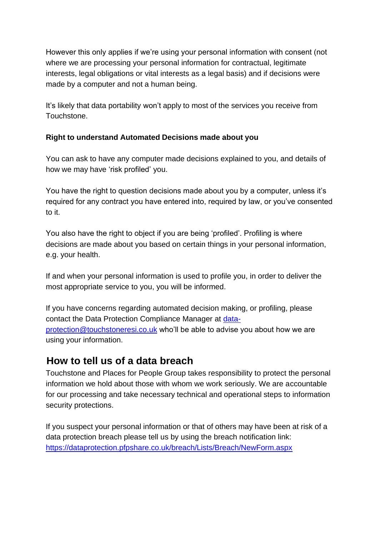However this only applies if we're using your personal information with consent (not where we are processing your personal information for contractual, legitimate interests, legal obligations or vital interests as a legal basis) and if decisions were made by a computer and not a human being.

It's likely that data portability won't apply to most of the services you receive from Touchstone.

### **Right to understand Automated Decisions made about you**

You can ask to have any computer made decisions explained to you, and details of how we may have 'risk profiled' you.

You have the right to question decisions made about you by a computer, unless it's required for any contract you have entered into, required by law, or you've consented to it.

You also have the right to object if you are being 'profiled'. Profiling is where decisions are made about you based on certain things in your personal information, e.g. your health.

If and when your personal information is used to profile you, in order to deliver the most appropriate service to you, you will be informed.

If you have concerns regarding automated decision making, or profiling, please contact the Data Protection Compliance Manager at data[protection@touchstoneresi.co.uk](mailto:protection@touchstoneresi.co.uk) who'll be able to advise you about how we are using your information.

### <span id="page-12-0"></span>**How to tell us of a data breach**

Touchstone and Places for People Group takes responsibility to protect the personal information we hold about those with whom we work seriously. We are accountable for our processing and take necessary technical and operational steps to information security protections.

If you suspect your personal information or that of others may have been at risk of a data protection breach please tell us by using the breach notification link: <https://dataprotection.pfpshare.co.uk/breach/Lists/Breach/NewForm.aspx>